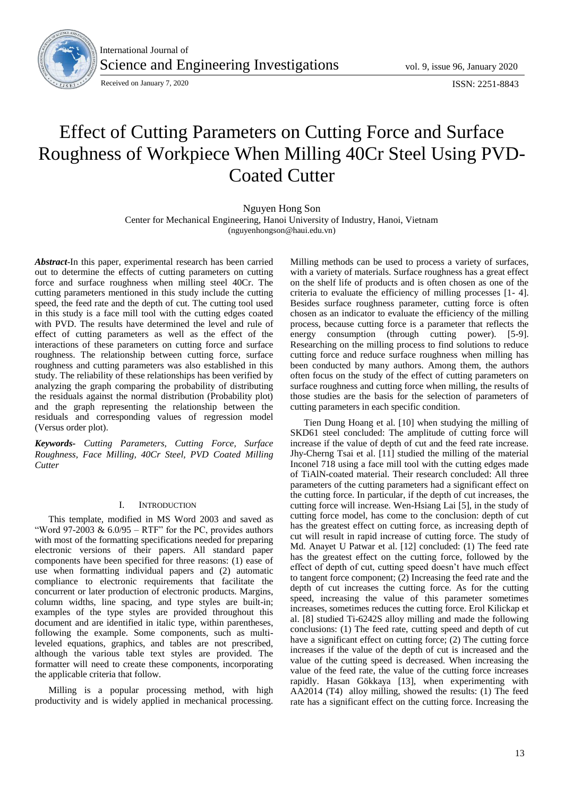

International Journal of Science and Engineering Investigations vol. 9, issue 96, January 2020

# Effect of Cutting Parameters on Cutting Force and Surface Roughness of Workpiece When Milling 40Cr Steel Using PVD-Coated Cutter

Nguyen Hong Son Center for Mechanical Engineering, Hanoi University of Industry, Hanoi, Vietnam (nguyenhongson@haui.edu.vn)

*Abstract*-In this paper, experimental research has been carried out to determine the effects of cutting parameters on cutting force and surface roughness when milling steel 40Cr. The cutting parameters mentioned in this study include the cutting speed, the feed rate and the depth of cut. The cutting tool used in this study is a face mill tool with the cutting edges coated with PVD. The results have determined the level and rule of effect of cutting parameters as well as the effect of the interactions of these parameters on cutting force and surface roughness. The relationship between cutting force, surface roughness and cutting parameters was also established in this study. The reliability of these relationships has been verified by analyzing the graph comparing the probability of distributing the residuals against the normal distribution (Probability plot) and the graph representing the relationship between the residuals and corresponding values of regression model (Versus order plot).

*Keywords- Cutting Parameters, Cutting Force, Surface Roughness, Face Milling, 40Cr Steel, PVD Coated Milling Cutter*

## I. INTRODUCTION

This template, modified in MS Word 2003 and saved as "Word 97-2003 &  $6.0/95 - RTF$ " for the PC, provides authors with most of the formatting specifications needed for preparing electronic versions of their papers. All standard paper components have been specified for three reasons: (1) ease of use when formatting individual papers and (2) automatic compliance to electronic requirements that facilitate the concurrent or later production of electronic products. Margins, column widths, line spacing, and type styles are built-in; examples of the type styles are provided throughout this document and are identified in italic type, within parentheses, following the example. Some components, such as multileveled equations, graphics, and tables are not prescribed, although the various table text styles are provided. The formatter will need to create these components, incorporating the applicable criteria that follow.

Milling is a popular processing method, with high productivity and is widely applied in mechanical processing.

Milling methods can be used to process a variety of surfaces, with a variety of materials. Surface roughness has a great effect on the shelf life of products and is often chosen as one of the criteria to evaluate the efficiency of milling processes [1- 4]. Besides surface roughness parameter, cutting force is often chosen as an indicator to evaluate the efficiency of the milling process, because cutting force is a parameter that reflects the energy consumption (through cutting power). [5-9]. Researching on the milling process to find solutions to reduce cutting force and reduce surface roughness when milling has been conducted by many authors. Among them, the authors often focus on the study of the effect of cutting parameters on surface roughness and cutting force when milling, the results of those studies are the basis for the selection of parameters of cutting parameters in each specific condition.

Tien Dung Hoang et al. [10] when studying the milling of SKD61 steel concluded: The amplitude of cutting force will increase if the value of depth of cut and the feed rate increase. Jhy-Cherng Tsai et al. [11] studied the milling of the material Inconel 718 using a face mill tool with the cutting edges made of TiAlN-coated material. Their research concluded: All three parameters of the cutting parameters had a significant effect on the cutting force. In particular, if the depth of cut increases, the cutting force will increase. Wen-Hsiang Lai [5], in the study of cutting force model, has come to the conclusion: depth of cut has the greatest effect on cutting force, as increasing depth of cut will result in rapid increase of cutting force. The study of Md. Anayet U Patwar et al. [12] concluded: (1) The feed rate has the greatest effect on the cutting force, followed by the effect of depth of cut, cutting speed doesn't have much effect to tangent force component; (2) Increasing the feed rate and the depth of cut increases the cutting force. As for the cutting speed, increasing the value of this parameter sometimes increases, sometimes reduces the cutting force. Erol Kilickap et al. [8] studied Ti-6242S alloy milling and made the following conclusions: (1) The feed rate, cutting speed and depth of cut have a significant effect on cutting force; (2) The cutting force increases if the value of the depth of cut is increased and the value of the cutting speed is decreased. When increasing the value of the feed rate, the value of the cutting force increases rapidly. Hasan Gökkaya [13], when experimenting with AA2014 (T4) alloy milling, showed the results: (1) The feed rate has a significant effect on the cutting force. Increasing the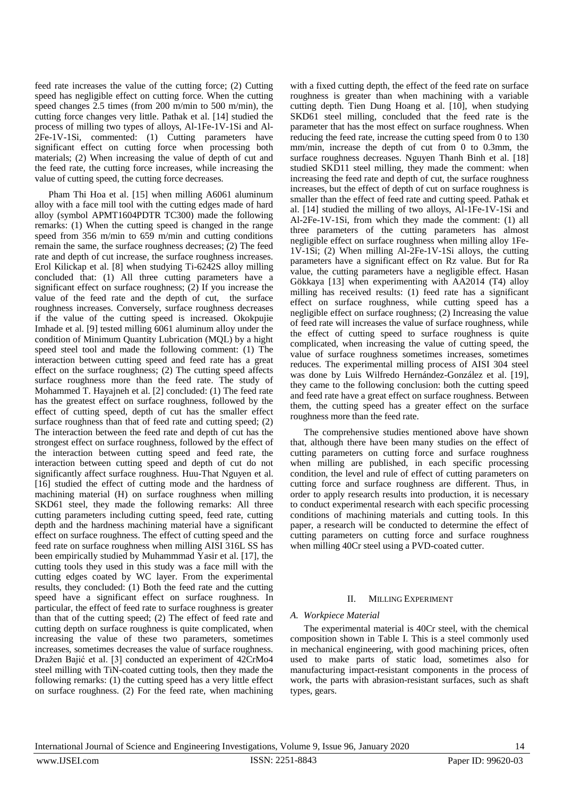feed rate increases the value of the cutting force; (2) Cutting speed has negligible effect on cutting force. When the cutting speed changes 2.5 times (from 200 m/min to 500 m/min), the cutting force changes very little. Pathak et al. [14] studied the process of milling two types of alloys, Al-1Fe-1V-1Si and Al-2Fe-1V-1Si, commented: (1) Cutting parameters have significant effect on cutting force when processing both materials; (2) When increasing the value of depth of cut and the feed rate, the cutting force increases, while increasing the value of cutting speed, the cutting force decreases.

Pham Thi Hoa et al. [15] when milling A6061 aluminum alloy with a face mill tool with the cutting edges made of hard alloy (symbol APMT1604PDTR TC300) made the following remarks: (1) When the cutting speed is changed in the range speed from 356 m/min to 659 m/min and cutting conditions remain the same, the surface roughness decreases; (2) The feed rate and depth of cut increase, the surface roughness increases. Erol Kilickap et al. [8] when studying Ti-6242S alloy milling concluded that: (1) All three cutting parameters have a significant effect on surface roughness;  $(2)$  If you increase the value of the feed rate and the depth of cut, the surface roughness increases. Conversely, surface roughness decreases if the value of the cutting speed is increased. Okokpujie Imhade et al. [9] tested milling 6061 aluminum alloy under the condition of Minimum Quantity Lubrication (MQL) by a hight speed steel tool and made the following comment: (1) The interaction between cutting speed and feed rate has a great effect on the surface roughness; (2) The cutting speed affects surface roughness more than the feed rate. The study of Mohammed T. Hayajneh et al. [2] concluded: (1) The feed rate has the greatest effect on surface roughness, followed by the effect of cutting speed, depth of cut has the smaller effect surface roughness than that of feed rate and cutting speed; (2) The interaction between the feed rate and depth of cut has the strongest effect on surface roughness, followed by the effect of the interaction between cutting speed and feed rate, the interaction between cutting speed and depth of cut do not significantly affect surface roughness. Huu-That Nguyen et al. [16] studied the effect of cutting mode and the hardness of machining material (H) on surface roughness when milling SKD61 steel, they made the following remarks: All three cutting parameters including cutting speed, feed rate, cutting depth and the hardness machining material have a significant effect on surface roughness. The effect of cutting speed and the feed rate on surface roughness when milling AISI 316L SS has been empirically studied by Muhammmad Yasir et al. [17], the cutting tools they used in this study was a face mill with the cutting edges coated by WC layer. From the experimental results, they concluded: (1) Both the feed rate and the cutting speed have a significant effect on surface roughness. In particular, the effect of feed rate to surface roughness is greater than that of the cutting speed; (2) The effect of feed rate and cutting depth on surface roughness is quite complicated, when increasing the value of these two parameters, sometimes increases, sometimes decreases the value of surface roughness. Dražen Bajić et al. [3] conducted an experiment of 42CrMo4 steel milling with TiN-coated cutting tools, then they made the following remarks: (1) the cutting speed has a very little effect on surface roughness. (2) For the feed rate, when machining

with a fixed cutting depth, the effect of the feed rate on surface roughness is greater than when machining with a variable cutting depth. Tien Dung Hoang et al. [10], when studying SKD61 steel milling, concluded that the feed rate is the parameter that has the most effect on surface roughness. When reducing the feed rate, increase the cutting speed from 0 to 130 mm/min, increase the depth of cut from 0 to 0.3mm, the surface roughness decreases. Nguyen Thanh Binh et al. [18] studied SKD11 steel milling, they made the comment: when increasing the feed rate and depth of cut, the surface roughness increases, but the effect of depth of cut on surface roughness is smaller than the effect of feed rate and cutting speed. Pathak et al. [14] studied the milling of two alloys, Al-1Fe-1V-1Si and Al-2Fe-1V-1Si, from which they made the comment: (1) all three parameters of the cutting parameters has almost negligible effect on surface roughness when milling alloy 1Fe-1V-1Si; (2) When milling Al-2Fe-1V-1Si alloys, the cutting parameters have a significant effect on Rz value. But for Ra value, the cutting parameters have a negligible effect. Hasan Gökkaya [13] when experimenting with AA2014 (T4) alloy milling has received results: (1) feed rate has a significant effect on surface roughness, while cutting speed has a negligible effect on surface roughness; (2) Increasing the value of feed rate will increases the value of surface roughness, while the effect of cutting speed to surface roughness is quite complicated, when increasing the value of cutting speed, the value of surface roughness sometimes increases, sometimes reduces. The experimental milling process of AISI 304 steel was done by Luis Wilfredo Hernández-González et al. [19], they came to the following conclusion: both the cutting speed and feed rate have a great effect on surface roughness. Between them, the cutting speed has a greater effect on the surface roughness more than the feed rate.

The comprehensive studies mentioned above have shown that, although there have been many studies on the effect of cutting parameters on cutting force and surface roughness when milling are published, in each specific processing condition, the level and rule of effect of cutting parameters on cutting force and surface roughness are different. Thus, in order to apply research results into production, it is necessary to conduct experimental research with each specific processing conditions of machining materials and cutting tools. In this paper, a research will be conducted to determine the effect of cutting parameters on cutting force and surface roughness when milling 40Cr steel using a PVD-coated cutter.

## II. MILLING EXPERIMENT

## *A. Workpiece Material*

The experimental material is 40Cr steel, with the chemical composition shown in Table I. This is a steel commonly used in mechanical engineering, with good machining prices, often used to make parts of static load, sometimes also for manufacturing impact-resistant components in the process of work, the parts with abrasion-resistant surfaces, such as shaft types, gears.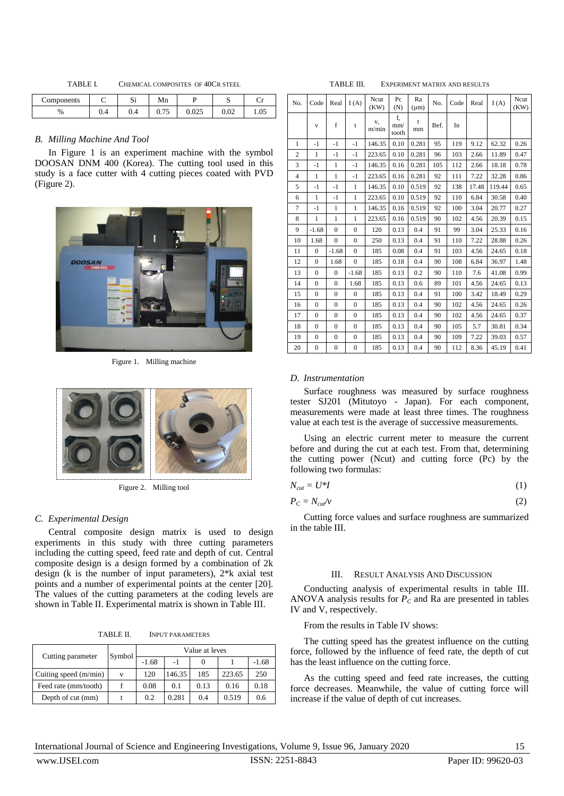TABLE I. CHEMICAL COMPOSITES OF 40CR STEEL

| Components |     | $\sim$<br>ມ | Mn               |       | ມ                | ີ    |
|------------|-----|-------------|------------------|-------|------------------|------|
| %          | 0.4 | V.4         | $\sim$<br>v. 1 J | ∪.∪∠J | $\Omega$<br>U.UZ | 1.0. |

# *B. Milling Machine And Tool*

In Figure 1 is an experiment machine with the symbol DOOSAN DNM 400 (Korea). The cutting tool used in this study is a face cutter with 4 cutting pieces coated with PVD (Figure 2).



Figure 1. Milling machine



Figure 2. Milling tool

# *C. Experimental Design*

Central composite design matrix is used to design experiments in this study with three cutting parameters including the cutting speed, feed rate and depth of cut. Central composite design is a design formed by a combination of 2k design (k is the number of input parameters), 2\*k axial test points and a number of experimental points at the center [20]. The values of the cutting parameters at the coding levels are shown in Table II. Experimental matrix is shown in Table III.

TABLE II. INPUT PARAMETERS

|                         | Symbol | Value at leves |        |                |        |         |  |  |
|-------------------------|--------|----------------|--------|----------------|--------|---------|--|--|
| Cutting parameter       |        | $-1.68$        | -1     | $\Omega$       |        | $-1.68$ |  |  |
| Cuiting speed $(m/min)$ | v      | 120            | 146.35 | 185            | 223.65 | 250     |  |  |
| Feed rate (mm/tooth)    |        | 0.08           | 0.1    | 0.13           | 0.16   | 0.18    |  |  |
| Depth of cut (mm)       |        | 0.2            | 0.281  | 0 <sub>4</sub> | 0.519  | 0.6     |  |  |

TABLE III. EXPERIMENT MATRIX AND RESULTS No.  $\text{Code}$  Real  $\begin{bmatrix} I(A) \ R(H) \end{bmatrix}$   $\begin{bmatrix} Ncut \\ (KW) \end{bmatrix}$   $\begin{bmatrix} Re \\ (N) \end{bmatrix}$   $\begin{bmatrix} Ra \\ (M) \end{bmatrix}$  No.  $\begin{bmatrix} Code \ Red \end{bmatrix}$   $\begin{bmatrix} I(A) \ R(W) \end{bmatrix}$ (KW) (N) f,

| No.            | Code           | Real             | I(A)             | (KW)        | (N)                | $(\mu m)$ | No.  | Code | Real  | I(A)   | (KW) |
|----------------|----------------|------------------|------------------|-------------|--------------------|-----------|------|------|-------|--------|------|
|                | $\mathbf{V}$   | f                | t                | v,<br>m/min | f.<br>mm/<br>tooth | t<br>mm   | Bef. | In   |       |        |      |
| $\mathbf{1}$   | $-1$           | $-1$             | $-1$             | 146.35      | 0.10               | 0.281     | 95   | 119  | 9.12  | 62.32  | 0.26 |
| $\overline{c}$ | 1              | $-1$             | $-1$             | 223.65      | 0.10               | 0.281     | 96   | 103  | 2.66  | 11.89  | 0.47 |
| 3              | $-1$           | $\mathbf{1}$     | $-1$             | 146.35      | 0.16               | 0.281     | 105  | 112  | 2.66  | 18.18  | 0.78 |
| $\overline{4}$ | $\mathbf{1}$   | $\mathbf{1}$     | $-1$             | 223.65      | 0.16               | 0.281     | 92   | 111  | 7.22  | 32.28  | 0.86 |
| 5              | $-1$           | $-1$             | $\mathbf{1}$     | 146.35      | 0.10               | 0.519     | 92   | 138  | 17.48 | 119.44 | 0.65 |
| 6              | $\mathbf{1}$   | -1               | $\mathbf{1}$     | 223.65      | 0.10               | 0.519     | 92   | 110  | 6.84  | 30.58  | 0.40 |
| $\overline{7}$ | $-1$           | $\mathbf{1}$     | $\mathbf{1}$     | 146.35      | 0.16               | 0.519     | 92   | 100  | 3.04  | 20.77  | 0.27 |
| 8              | $\mathbf{1}$   | $\mathbf{1}$     | $\mathbf{1}$     | 223.65      | 0.16               | 0.519     | 90   | 102  | 4.56  | 20.39  | 0.15 |
| 9              | $-1.68$        | $\overline{0}$   | $\mathbf{0}$     | 120         | 0.13               | 0.4       | 91   | 99   | 3.04  | 25.33  | 0.16 |
| 10             | 1.68           | $\overline{0}$   | $\mathbf{0}$     | 250         | 0.13               | 0.4       | 91   | 110  | 7.22  | 28.88  | 0.26 |
| 11             | $\mathbf{0}$   | $-1.68$          | $\Omega$         | 185         | 0.08               | 0.4       | 91   | 103  | 4.56  | 24.65  | 0.18 |
| 12             | $\overline{0}$ | 1.68             | $\overline{0}$   | 185         | 0.18               | 0.4       | 90   | 108  | 6.84  | 36.97  | 1.48 |
| 13             | $\mathbf{0}$   | $\overline{0}$   | $-1.68$          | 185         | 0.13               | 0.2       | 90   | 110  | 7.6   | 41.08  | 0.99 |
| 14             | $\mathbf{0}$   | $\overline{0}$   | 1.68             | 185         | 0.13               | 0.6       | 89   | 101  | 4.56  | 24.65  | 0.13 |
| 15             | $\overline{0}$ | $\overline{0}$   | $\mathbf{0}$     | 185         | 0.13               | 0.4       | 91   | 100  | 3.42  | 18.49  | 0.29 |
| 16             | $\overline{0}$ | $\overline{0}$   | $\overline{0}$   | 185         | 0.13               | 0.4       | 90   | 102  | 4.56  | 24.65  | 0.26 |
| 17             | $\overline{0}$ | $\overline{0}$   | $\mathbf{0}$     | 185         | 0.13               | 0.4       | 90   | 102  | 4.56  | 24.65  | 0.37 |
| 18             | $\overline{0}$ | $\mathbf{0}$     | $\overline{0}$   | 185         | 0.13               | 0.4       | 90   | 105  | 5.7   | 30.81  | 0.34 |
| 19             | $\mathbf{0}$   | $\overline{0}$   | $\overline{0}$   | 185         | 0.13               | 0.4       | 90   | 109  | 7.22  | 39.03  | 0.57 |
| 20             | $\mathbf{0}$   | $\boldsymbol{0}$ | $\boldsymbol{0}$ | 185         | 0.13               | 0.4       | 90   | 112  | 8.36  | 45.19  | 0.41 |

#### *D. Instrumentation*

Surface roughness was measured by surface roughness tester SJ201 (Mitutoyo - Japan). For each component, measurements were made at least three times. The roughness value at each test is the average of successive measurements.

Using an electric current meter to measure the current before and during the cut at each test. From that, determining the cutting power (Ncut) and cutting force (Pc) by the following two formulas:

$$
N_{cut} = U^*I \tag{1}
$$

$$
P_C = N_{\text{cut}} / v \tag{2}
$$

Cutting force values and surface roughness are summarized in the table III.

#### III. RESULT ANALYSIS AND DISCUSSION

Conducting analysis of experimental results in table III. ANOVA analysis results for  $P_C$  and Ra are presented in tables IV and V, respectively.

From the results in Table IV shows:

The cutting speed has the greatest influence on the cutting force, followed by the influence of feed rate, the depth of cut has the least influence on the cutting force.

As the cutting speed and feed rate increases, the cutting force decreases. Meanwhile, the value of cutting force will increase if the value of depth of cut increases.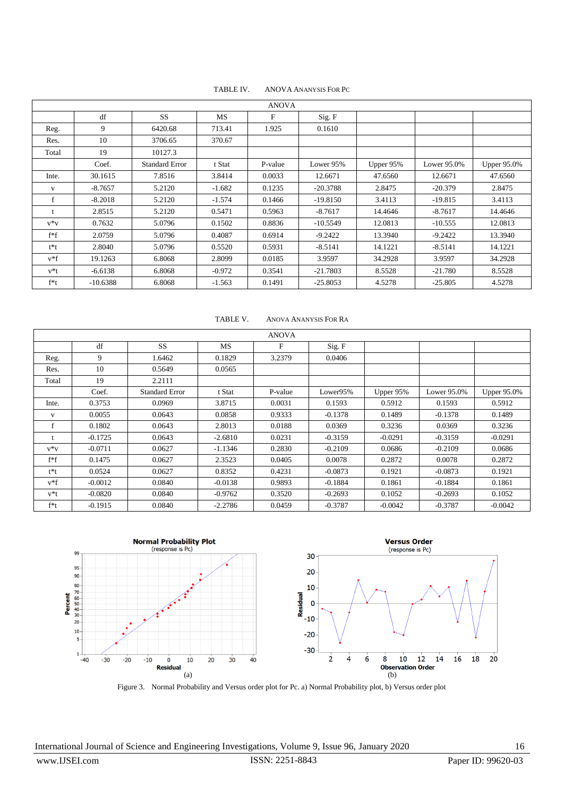| TABLE IV. | <b>ANOVA ANANYSIS FOR PC</b> |  |
|-----------|------------------------------|--|
|           |                              |  |

| <b>ANOVA</b> |            |                       |           |         |            |           |             |                    |  |  |
|--------------|------------|-----------------------|-----------|---------|------------|-----------|-------------|--------------------|--|--|
|              | df         | <b>SS</b>             | <b>MS</b> | F       | Sig. F     |           |             |                    |  |  |
| Reg.         | 9          | 6420.68               | 713.41    | 1.925   | 0.1610     |           |             |                    |  |  |
| Res.         | 10         | 3706.65               | 370.67    |         |            |           |             |                    |  |  |
| Total        | 19         | 10127.3               |           |         |            |           |             |                    |  |  |
|              | Coef.      | <b>Standard Error</b> | t Stat    | P-value | Lower 95%  | Upper 95% | Lower 95.0% | <b>Upper 95.0%</b> |  |  |
| Inte.        | 30.1615    | 7.8516                | 3.8414    | 0.0033  | 12.6671    | 47.6560   | 12.6671     | 47.6560            |  |  |
| V            | $-8.7657$  | 5.2120                | $-1.682$  | 0.1235  | $-20.3788$ | 2.8475    | $-20.379$   | 2.8475             |  |  |
| $\mathbf f$  | $-8.2018$  | 5.2120                | $-1.574$  | 0.1466  | $-19.8150$ | 3.4113    | $-19.815$   | 3.4113             |  |  |
|              | 2.8515     | 5.2120                | 0.5471    | 0.5963  | $-8.7617$  | 14.4646   | $-8.7617$   | 14.4646            |  |  |
| $v * v$      | 0.7632     | 5.0796                | 0.1502    | 0.8836  | $-10.5549$ | 12.0813   | $-10.555$   | 12.0813            |  |  |
| $f*f$        | 2.0759     | 5.0796                | 0.4087    | 0.6914  | $-9.2422$  | 13.3940   | $-9.2422$   | 13.3940            |  |  |
| t*t          | 2.8040     | 5.0796                | 0.5520    | 0.5931  | $-8.5141$  | 14.1221   | $-8.5141$   | 14.1221            |  |  |
| $v*f$        | 19.1263    | 6.8068                | 2.8099    | 0.0185  | 3.9597     | 34.2928   | 3.9597      | 34.2928            |  |  |
| $v*t$        | $-6.6138$  | 6.8068                | $-0.972$  | 0.3541  | $-21.7803$ | 8.5528    | $-21.780$   | 8.5528             |  |  |
| $f*t$        | $-10.6388$ | 6.8068                | $-1.563$  | 0.1491  | $-25.8053$ | 4.5278    | $-25.805$   | 4.5278             |  |  |

TABLE V. ANOVA ANANYSIS FOR RA

| <b>ANOVA</b> |           |                       |           |         |           |           |             |                    |  |  |
|--------------|-----------|-----------------------|-----------|---------|-----------|-----------|-------------|--------------------|--|--|
|              | df        | <b>SS</b>             | <b>MS</b> | F       | Sig. F    |           |             |                    |  |  |
| Reg.         | 9         | 1.6462                | 0.1829    | 3.2379  | 0.0406    |           |             |                    |  |  |
| Res.         | 10        | 0.5649                | 0.0565    |         |           |           |             |                    |  |  |
| Total        | 19        | 2.2111                |           |         |           |           |             |                    |  |  |
|              | Coef.     | <b>Standard Error</b> | t Stat    | P-value | Lower95%  | Upper 95% | Lower 95.0% | <b>Upper 95.0%</b> |  |  |
| Inte.        | 0.3753    | 0.0969                | 3.8715    | 0.0031  | 0.1593    | 0.5912    | 0.1593      | 0.5912             |  |  |
| V            | 0.0055    | 0.0643                | 0.0858    | 0.9333  | $-0.1378$ | 0.1489    | $-0.1378$   | 0.1489             |  |  |
| f            | 0.1802    | 0.0643                | 2.8013    | 0.0188  | 0.0369    | 0.3236    | 0.0369      | 0.3236             |  |  |
|              | $-0.1725$ | 0.0643                | $-2.6810$ | 0.0231  | $-0.3159$ | $-0.0291$ | $-0.3159$   | $-0.0291$          |  |  |
| $V^*V$       | $-0.0711$ | 0.0627                | $-1.1346$ | 0.2830  | $-0.2109$ | 0.0686    | $-0.2109$   | 0.0686             |  |  |
| $f*f$        | 0.1475    | 0.0627                | 2.3523    | 0.0405  | 0.0078    | 0.2872    | 0.0078      | 0.2872             |  |  |
| t*t          | 0.0524    | 0.0627                | 0.8352    | 0.4231  | $-0.0873$ | 0.1921    | $-0.0873$   | 0.1921             |  |  |
| $v*f$        | $-0.0012$ | 0.0840                | $-0.0138$ | 0.9893  | $-0.1884$ | 0.1861    | $-0.1884$   | 0.1861             |  |  |
| v*t          | $-0.0820$ | 0.0840                | $-0.9762$ | 0.3520  | $-0.2693$ | 0.1052    | $-0.2693$   | 0.1052             |  |  |
| $f*t$        | $-0.1915$ | 0.0840                | $-2.2786$ | 0.0459  | $-0.3787$ | $-0.0042$ | $-0.3787$   | $-0.0042$          |  |  |



Figure 3. Normal Probability and Versus order plot for Pc. a) Normal Probability plot, b) Versus order plot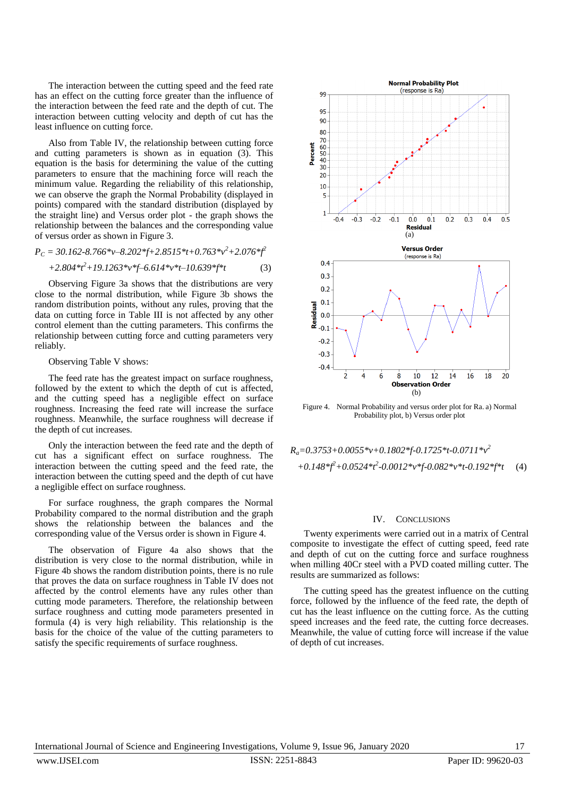The interaction between the cutting speed and the feed rate has an effect on the cutting force greater than the influence of the interaction between the feed rate and the depth of cut. The interaction between cutting velocity and depth of cut has the least influence on cutting force.

Also from Table IV, the relationship between cutting force and cutting parameters is shown as in equation (3). This equation is the basis for determining the value of the cutting parameters to ensure that the machining force will reach the minimum value. Regarding the reliability of this relationship, we can observe the graph the Normal Probability (displayed in points) compared with the standard distribution (displayed by the straight line) and Versus order plot - the graph shows the relationship between the balances and the corresponding value of versus order as shown in Figure 3.

$$
P_C = 30.162 - 8.766 *v - 8.202 * f + 2.8515 * t + 0.763 * v^2 + 2.076 * f^2
$$
  
+2.804 \* f<sup>2</sup>+19.1263 \* v \* f-6.614 \* v \*t-10.639 \* f \*t (3)

Observing Figure 3a shows that the distributions are very close to the normal distribution, while Figure 3b shows the random distribution points, without any rules, proving that the data on cutting force in Table III is not affected by any other control element than the cutting parameters. This confirms the relationship between cutting force and cutting parameters very reliably.

## Observing Table V shows:

The feed rate has the greatest impact on surface roughness, followed by the extent to which the depth of cut is affected, and the cutting speed has a negligible effect on surface roughness. Increasing the feed rate will increase the surface roughness. Meanwhile, the surface roughness will decrease if the depth of cut increases.

Only the interaction between the feed rate and the depth of cut has a significant effect on surface roughness. The interaction between the cutting speed and the feed rate, the interaction between the cutting speed and the depth of cut have a negligible effect on surface roughness.

For surface roughness, the graph compares the Normal Probability compared to the normal distribution and the graph shows the relationship between the balances and the corresponding value of the Versus order is shown in Figure 4.

The observation of Figure 4a also shows that the distribution is very close to the normal distribution, while in Figure 4b shows the random distribution points, there is no rule that proves the data on surface roughness in Table IV does not affected by the control elements have any rules other than cutting mode parameters. Therefore, the relationship between surface roughness and cutting mode parameters presented in formula (4) is very high reliability. This relationship is the basis for the choice of the value of the cutting parameters to satisfy the specific requirements of surface roughness.



Figure 4. Normal Probability and versus order plot for Ra. a) Normal Probability plot, b) Versus order plot

$$
R_a=0.3753+0.0055* v+0.1802* f-0.1725* t-0.0711* v^2
$$
  
+0.148\* f<sup>2</sup>+0.0524\* f<sup>2</sup>-0.0012\* v\* f-0.082\* v\* t-0.192\* f\* t (4)

#### IV. CONCLUSIONS

Twenty experiments were carried out in a matrix of Central composite to investigate the effect of cutting speed, feed rate and depth of cut on the cutting force and surface roughness when milling 40Cr steel with a PVD coated milling cutter. The results are summarized as follows:

The cutting speed has the greatest influence on the cutting force, followed by the influence of the feed rate, the depth of cut has the least influence on the cutting force. As the cutting speed increases and the feed rate, the cutting force decreases. Meanwhile, the value of cutting force will increase if the value of depth of cut increases.